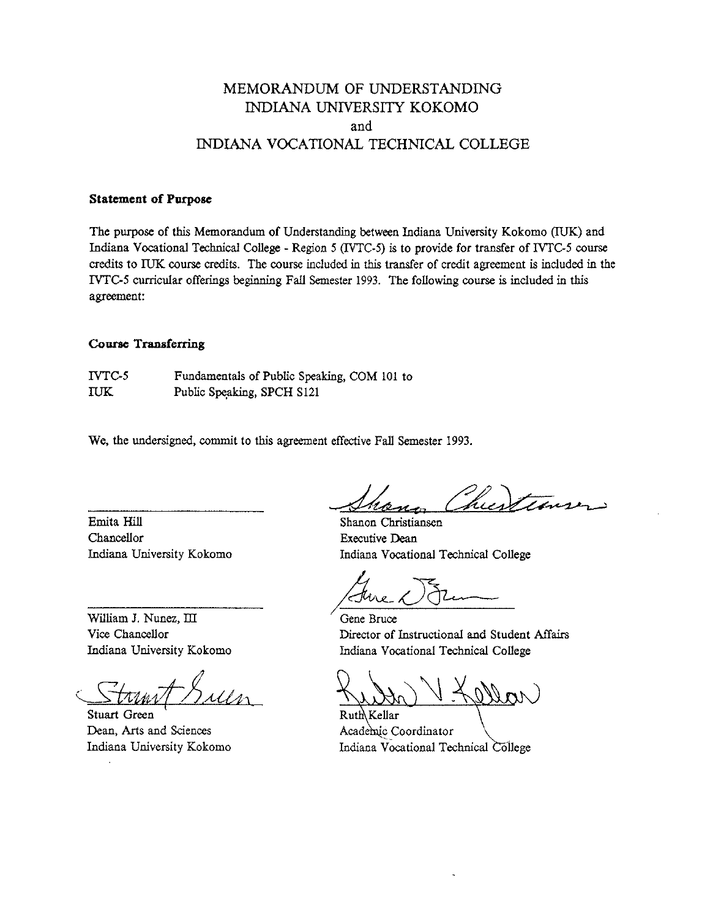# MEMORANDUM OF UNDERSTANDING INDIANA UNIVERSITY KOKOMO and INDIANA VOCATIONAL TECHNICAL COLLEGE

### **Statement of Purpose**

The **purpose** of this Memorandum of Understanding between Indiana University Kokomo (IUK) and Indiana Vocational Technical College - Region 5 **(WTC-5)** is to provide for transfer of IVTC-5 course **credits** to IUK course **credits.** The course included in this transfer of credit agreement is included in the IVTC-5 curricular offerings beginning Fall Semester 1993. The following course is included in this agreement:

## **Coatse Transferring**

IVTCS Fundamentals of Public Speaking, COM 101 to IUK Public Speaking, SPCH S121

We, the undersigned, commit to this agreement effective Fall Semester 1993.

Emita Hill Chancellor Indiana University Kokomo

William J. Nunez, III Vice Chancellor Indiana University Kokomo

Stuart Green Dean, Arts and Sciences Indiana University Kokomo

hustins

Shanon Christiansen Executive Dean Indiana Vocational Technical College

Gene Bruce Director of Instructional and Student **Affairs**  Indiana Vocational Technical College

 $\setminus$ Ruth Kellar Academic Coordinator<br>Indiana Vocational Technical College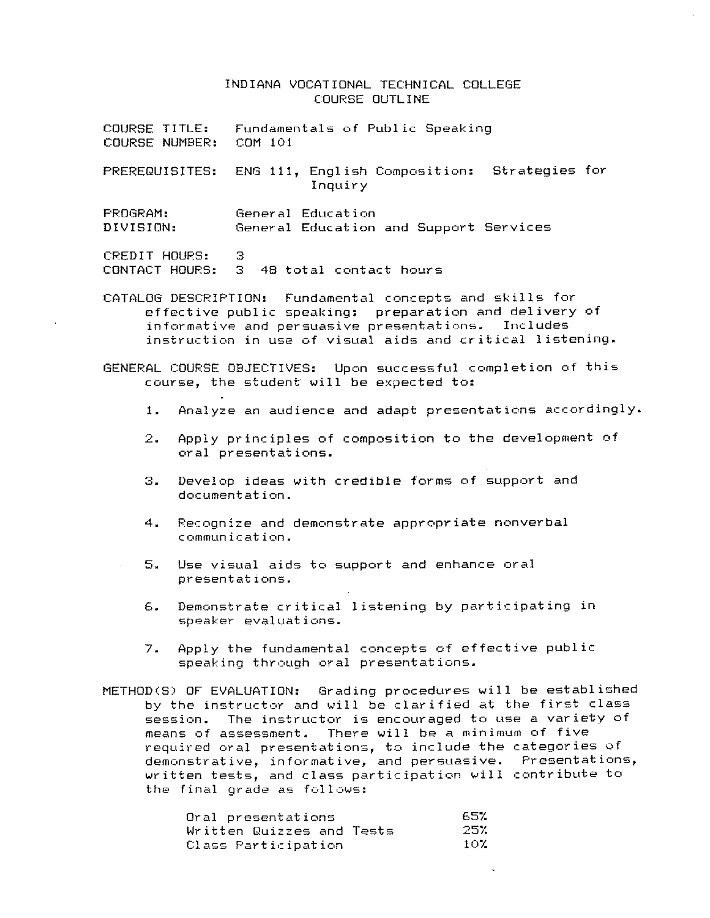### INDIANA VOCATIONAL TECHNICAL COLLEGE C:OURSE OUTLINE

| COURSE TITLE:  | Fundamentals of Public Speaking                                        |
|----------------|------------------------------------------------------------------------|
| COURSE NUMBER: | COM 101                                                                |
|                | PREREQUISITES: ENG 111, English Composition: Strategies for<br>Inquiry |
| PROGRAM:       | General Education                                                      |
| DIVISION:      | General Education and Support Services                                 |
| CREDIT HOURS:  | З.<br>CONTACT HOURS: 3 48 total contact hours                          |

CATALOG DESCRIPTION: Fundamental concepts and skills for effective public speaking: preparation and delivery af informative and persuasive presentations. Includes instruction in use of visual aids and critical listening.

GENERAL COURSE OBJECTIVES: Upon successful completion of this course, the student will be expected to:

- 1. Analyze an audience and adapt presentations accordingly.
- 2. Apply principles of composition to the development of oral presentat inns.
- **3.** Develop ideas with credible forms of support and documentat ion.
- 4. Recognize and demnnstrate appropriate nonverbal communication.
- **5.** Use visual aids to support and enhance oral presentat ions.
- 6. Demonstrate critical listening by participating in speaker evaluations.
- 7. Apply the fundamental concepts of effective public speaking through oral presentat ions.
- METHOD(S) OF EVALUATION: Grading procedures will be established by the instructor and will be clarified at the first class session. The instructor is encouraged to use a variety of means nf assessment. There will be a minimum nf five required oral presentations, to include the categories of demonstrative, informative, and persuasive. Presentations, written tests, and class participation will contribute to the final grade as follows:

| Oral presentations        | -657 |      |
|---------------------------|------|------|
| Written Quizzes and Tests |      | -25% |
| Class Participation       |      | -10% |